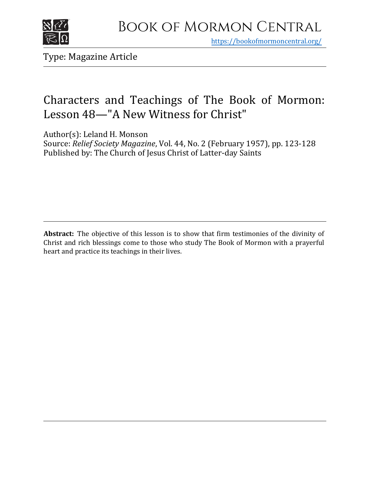

https[://bookofmormoncentral.org/](http://bookofmormoncentral.org/)

Type: Magazine Article

# Characters and Teachings of The Book of Mormon: Lesson 48—"A New Witness for Christ"

Author(s): Leland H. Monson

Source: *Relief Society Magazine*, Vol. 44, No. 2 (February 1957), pp. 123-128 Published by: The Church of Jesus Christ of Latter-day Saints

**Abstract:** The objective of this lesson is to show that firm testimonies of the divinity of Christ and rich blessings come to those who study The Book of Mormon with a prayerful heart and practice its teachings in their lives.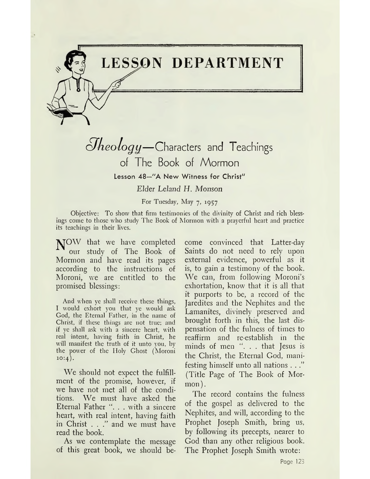

*¿Jkeology—*Characters and Teachings of The Book of Mormon

Lesson 48—"A New Witness for Christ"

# *Elder Leland H. Monson*

For Tuesday, May 7, 1957

Objective: To show that firm testimonies of the divinity of Christ and rich blessings come to those who study The Book of Mormon with a prayerful heart and practice its teachings in their lives.

NOW that we have completed our study of The Book of Mormon and have read its pages according to the instructions of Moroni, we are entitled to the promised blessings:

And when ye shall receive these things, I would exhort you that ye would ask God, the Eternal Father, in the name of Christ, if these things are not true; and if ye shall ask with a sincere heart, with real intent, having faith in Christ, he will manifest the truth of it unto you, by the power of the Holy Ghost (Moroni  $10:4$ ).

We should not expect the fulfillment of the promise, however, if we have not met all of the conditions. We must have asked the Eternal Father ". . . with a sincere heart, with real intent, having faith in Christ . . ." and we must have read the book.

As we contemplate the message of this great book, we should become convinced that Latter-day Saints do not need to rely upon external evidence, powerful as it is, to gain a testimony of the book. We can, from following Moroni'<sup>s</sup> exhortation, know that it is all that it purports to be, a record of the Jaredites and the Nephites and the Lamanites, divinely preserved and brought forth in this, the last dispensation of the fulness of times to reaffirm and re-establish in the minds of men ". . . that Jesus is the Christ, the Eternal God, manifesting himself unto all nations . . ." (Title Page of The Book of Mormon).

The record contains the fulness of the gospel as delivered to the Nephites, and will, according to the Prophet Joseph Smith, bring us, by following its precepts, nearer to God than any other religious book. The Prophet Joseph Smith wrote: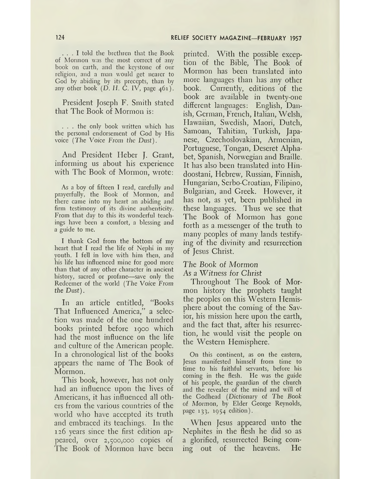... <sup>I</sup> told the brethren that the Book of Mormon was the most correct of any book on earth, and the keystone of our religion, and a man would get nearer to God by abiding by its precepts, than by any other book  $(D, H, C, IV,$  page  $461)$ .

President Joseph F. Smith stated that The Book of Mormon is:

. . . the only book written which has the personal endorsement of God by His voice (The *Voice From the Dust).*

And President Heber J. Grant, informing us about his experience with The Book of Mormon, wrote:

As a boy of fifteen I read, carefully and prayerfully, the Book of Mormon, and there came into my heart an abiding and firm testimony of its divine authenticity. From that day to this its wonderful teachings have been a comfort, a blessing and a guide to me.

I thank God from the bottom of my heart that I read the life of Nephi in my youth. I fell in love with him then, and his life has influenced mine for good more than that of any other character in ancient history, sacred or profane—save only the Redeemer of the world (The Voice From *the Dust).*

In an article entitled, "Books That Influenced America," a selection was made of the one hundred books printed before 1900 which had the most influence on the life and culture of the American people. In a chronological list of the books appears the name of The Book of Mormon.

This book, however, has not only had an influence upon the lives of Americans, it has influenced all others from the various countries of the world who have accepted its truth and embraced its teachings. In the 126 years since the first edition appeared, over 2,500,000 copies of The Book of Mormon have been

printed. With the possible exception of the Bible, The Book of Mormon has been translated into more languages than has any other book. Currently, editions of the book are available in twenty-one different languages: English, Danish, German, French, Italian, Welsh, Hawaiian, Swedish, Maori, Dutch, Samoan, Tahitian, Turkish, Japanese, Czechoslovakian, Armenian, Portuguese, Tongan, Deseret Alphabet, Spanish, Norwegian and Braille. It has also been translated into Hindoostani, Hebrew, Russian, Finnish, Hungarian, Serbo-Croatian, Filipino, Bulgarian, and Greek. However, it has not, as yet, been published in these languages. Thus we see that The Book of Mormon has gone forth as a. messenger of the truth to many peoples of many lands testifying of the divinity and resurrection of Jesus Christ.

#### *The Book of Mormon As* a *Witness for Christ*

Throughout The Book of Mormon history the prophets taught the peoples on this Western Hemisphere about the coming of the Savior, his mission here upon the earth, and the fact that, after his resurrection, he would visit the people on the Western Hemisphere.

On this continent, as on the eastern, Jesus manifested himself from time to time to his faithful servants, before his coming in the flesh. He was the guide of his people, the guardian of the church and the revealer of the mind and will of the Godhead (Dictionary of *The Book of Mormon,* by Elder George Reynolds, page 133, 1954 edition).

When Jesus appeared unto the Nephites in the flesh he did so as a glorified, resurrected Being coming out of the heavens. He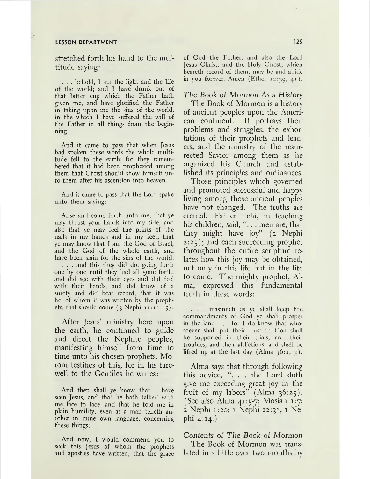#### **LESSON DEPARTMENT 125**

stretched forth his hand to the multitude saying:

. . . behold, I am the light and the life of the world; and I have drunk out of that bitter cup which the Father hath given me, and have glorified the Father in taking upon me the sins of the world, in the which I have suffered the will of the Father in all things from the beginning.

And it came to pass that when Jesus had spoken these words the whole multitude fell to the earth; for they remembered that it had been prophesied among them that Christ should show himself unto them after his ascension into heaven.

And it came to pass that the Lord spake unto them saying:

Arise and come forth unto me, that ye may thrust your hands into my side, and also that ye may feel the prints of the nails in my hands and in my feet, that ye may know that I am the God of Israel, and the God of the whole earth, and have been slain for the sins of the world. . . . and this they did do, going forth one by one until they had all gone forth, and did see with their eyes and did feel with their hands, and did know of a surety and did bear record, that it was he, of whom it was written by the prophets, that should come  $(3 \text{ Nephi } 11:11-15)$ .

After Jesus' ministry here upon the earth, he continued to guide and direct the Nephite peoples, manifesting himself from time to time unto his chosen prophets. Moroni testifies of this, for in his farewell to the Gentiles he writes:

And then shall ye know that I have seen Jesus, and that he hath talked with me face to face, and that he told me in plain humility, even as a man telleth another in mine own language, concerning these things:

And now, I would commend you to seek this Jesus of whom the prophets and apostles have written, that the grace

of God the Father, and also the Lord Jesus Christ, and the Holy Ghost, which beareth record of them, may be and abide in you forever. Amen (Ether 12:39, 41)-

#### *The Book of Mormon As* a *History*

The Book of Mormon is a history of ancient peoples upon the American continent. It portrays their problems and struggles, the exhortations of their prophets and leaders, and the ministry of the resurrected Savior among them as he organized his Church and established its principles and ordinances.

Those principles which governed and promoted successful and happy living among those ancient peoples have not changed. The truths are eternal. Father Lehi, in teaching his children, said, ". . . men are, that they might have joy" (2 Nephi 2:25); and each succeeding prophet throughout the entire scripture relates how this joy may be obtained, not only in this life but in the life to come. The mighty prophet, Alma, expressed this fundamental truth in these words:

. . . inasmuch as ye shall keep the commandments of God ye shall prosper in the land ... for <sup>I</sup> do know that whosoever shall put their trust in God shall be supported in their trials, and their troubles, and their afflictions, and shall be lifted up at the last day  $(Alma 36:1, 3)$ .

Alma says that through following this advice, ". . . the Lord doth give me exceeding great joy in the fruit of my labors"  $(\text{Alma } 36:25)$ . (See also Alma 41:5-7; Mosiah 1:7; <sup>2</sup> Nephi 1:20; <sup>1</sup> Nephi 22:31; <sup>1</sup> Nephi 4:14.)

*Contents of The Book of Mormon* The Book of Mormon was translated in a little over two months by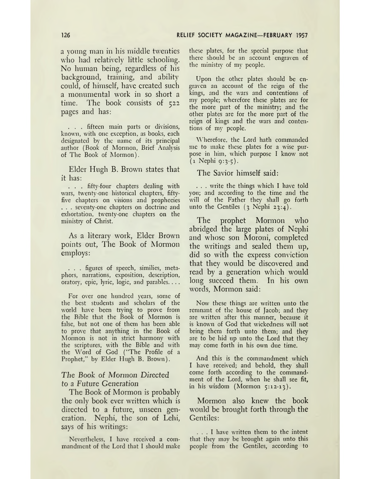a young man in his middle twenties who had relatively little schooling. No human being, regardless of his background, training, and ability could, of himself, have created such a monumental work in so short a time. The book consists of 522 pages and has:

. . . fifteen main parts or divisions, known, with one exception, as books, each designated by the name of its principal author (Book of Mormon, Brief Analysis of The Book of Mormon).

Elder Hugh B. Brown states that it has:

. . . fifty-four chapters dealing with wars, twenty-one historical chapters, fiftyfive chapters on visions and prophecies . . . seventy-one chapters on doctrine and exhortation, twenty-one chapters on the ministry of Christ.

As a literary work, Elder Brown points out, The Book of Mormon employs:

. . . figures of speech, similies, metaphors, narrations, exposition, description, oratory, epic, lyric, logic, and parables.. . .

For over one hundred years, some of the best students and scholars of the world have been trying to prove from the Bible that the Book of Mormon is false, but not one of them has been able to prove that anything in the Book of Mormon is not in strict harmony with the scriptures, with the Bible and with the Word of God ("The Profile of a Prophet," by Elder Hugh B. Brown).

### *The Book of Mormon Directed to* a Future *Generation*

The Book of Mormon is probably the only book ever written which is directed to a future, unseen generation. Nephi, the son of Lehi, says of his writings:

Nevertheless, I have received a commandment of the Lord that I should make these plates, for the special purpose that there should be an account engraven of the ministry of my people.

Upon the other plates should be engraven an account of the reign of the kings, and the wars and contentions of my people; wherefore these plates are for the more part of the ministry; and the other plates arc for the more part of the reign of kings and the wars and contentions of my people.

Wherefore, the Lord hath commanded me to make these plates for a wise purpose in him, which purpose I know not  $(1$  Nephi 9:3-5).

The Savior himself said:

. . . write the things which I have told you; and according to the time and the will of the Father they shall go forth unto the Gentiles  $(3 \text{ Nephi } 23:4)$ .

The prophet Mormon who abridged the large plates of Nephi and whose son Moroni, completed the writings and sealed them up, did so with the express conviction that they would be discovered and read by a generation which would long succeed them. In his own words, Mormon said:

Now these things are written unto the remnant of the house of Jacob; and they are written after this manner, because it is known of God that wickedness will not bring them forth unto them; and they are to be hid up unto the Lord that they may come forth in his own due time.

And this is the commandment which I have received; and behold, they shall come forth according to the commandment of the Lord, when he shall see fit, in his wisdom (Mormon  $5:12-13$ ).

Mormon also knew the book would be brought forth through the Gentiles:

... <sup>I</sup> have written them to the intent that they may be brought again unto this people from the Gentiles, according to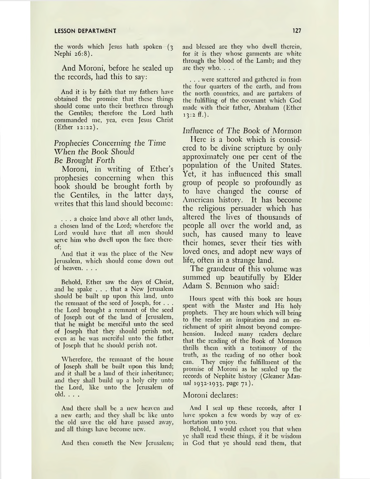#### **LESSON DEPARTMENT 127**

the words which Jesus hath spoken (3 Nephi 26:8).

And Moroni, before he sealed up the records, had this to say:

And it is by faith that my fathers have obtained the promise that these things should come unto their brethren through the Gentiles; therefore the Lord hath commanded me, yea, even Jesus Christ (Ether 12:22).

## *Prophecies Concerning the Time When the Book Should Be Brought Forth*

Moroni, in writing of Ether'<sup>s</sup> prophesies concerning when this book should be brought forth by the Gentiles, in the latter days, writes that this land should become:

... <sup>a</sup> choice land above all other lands, a chosen land of the Lord; wherefore the Lord would have that all men should serve him who dwell upon the face thereof;

And that it was the place of the New Jerusalem, which should come down out of heaven. . . .

Behold, Ether saw the days of Christ, and he spake . . . that a New Jerusalem should be built up upon this land, unto the remnant of the seed of Joseph, for . . . the Lord brought a remnant of the seed of Joseph out of the land of Jerusalem, that he might be merciful unto the seed of Joseph that they should perish not, even as he was merciful unto the father of Joseph that he should perish not.

Wherefore, the remnant of the house of Joseph shall be built upon this land; and it shall be a land of their inheritance; and they shall build up a holy city unto the Lord, like unto the Jerusalem of old. . . .

And there shall be a new heaven and a new earth; and they shall be like unto the old save the old have passed away, and all things have become new.

And then cometh the New Jerusalem;

and blessed are they who dwell therein, for it is they whose garments are white through the blood of the Lamb; and they are they who. . . .

. . . were scattered and gathered in from the four quarters of the earth, and from the north countries, and are partakers of the fulfilling of the covenant which God made with their father, Abraham (Ether  $13:2 \text{ ff.}.$ 

*Influence of The Book of Mormon*

Here is a book which is considered to be divine scripture by only approximately one per cent of the population of the United States. Yet, it has influenced this small group of people so profoundly as to have changed the course of American history. It has become the religious persuader which has altered the lives of thousands of people all over the world and, as such, has caused many to leave their homes, sever their ties with loved ones, and adopt new ways of life, often in a strange land.

The grandeur of this volume was summed up beautifully by Elder Adam S. Bennion who said:

Hours spent with this book are hours spent with the Master and His holy prophets. They are hours which will bring to the reader an inspiration and an enrichment of spirit almost beyond comprehension. Indeed many readers declare that the reading of the Book of Mormon thrills them with a testimony of the truth, as the reading of no other book can. They enjoy the fulfillment of the promise of Moroni as he sealed up the records of Nephite history *(Gleaner Manual* 1932-1933, page 71).

#### Moroni declares:

And I seal up these records, after I have spoken a few words by way of exhortation unto you.

Behold, I would exhort you that when ye shall read these things, if it be wisdom in God that ye should read them, that